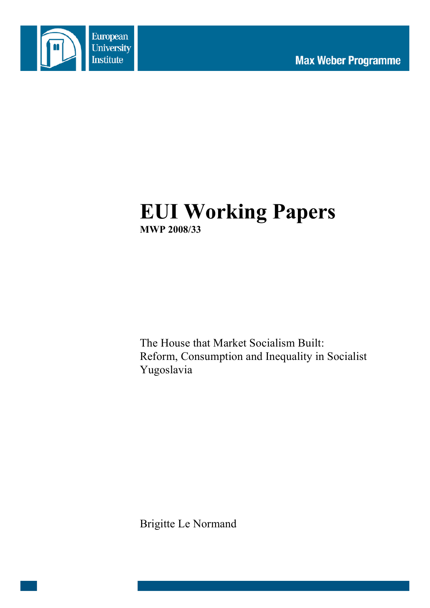

# **EUI Working Papers MWP 2008/33**

The House that Market Socialism Built: Reform, Consumption and Inequality in Socialist Yugoslavia

Brigitte Le Normand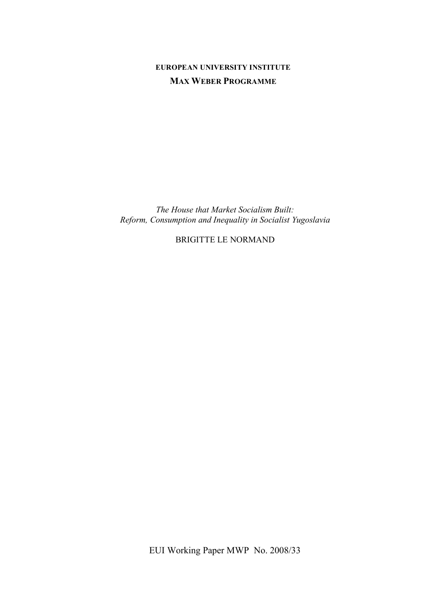# **EUROPEAN UNIVERSITY INSTITUTE MAX WEBER PROGRAMME**

*The House that Market Socialism Built: Reform, Consumption and Inequality in Socialist Yugoslavia*

BRIGITTE LE NORMAND

EUI Working Paper MWP No. 2008/33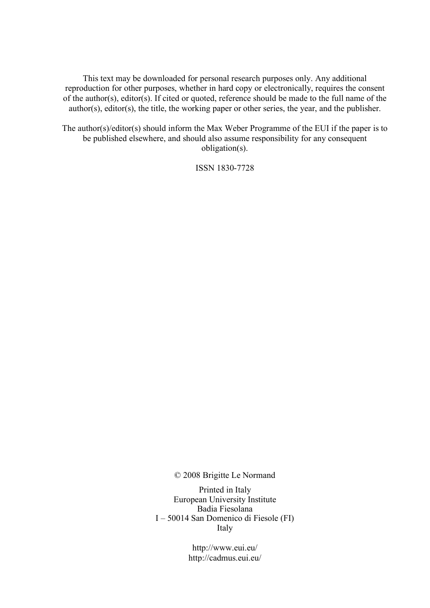This text may be downloaded for personal research purposes only. Any additional reproduction for other purposes, whether in hard copy or electronically, requires the consent of the author(s), editor(s). If cited or quoted, reference should be made to the full name of the author(s), editor(s), the title, the working paper or other series, the year, and the publisher.

The author(s)/editor(s) should inform the Max Weber Programme of the EUI if the paper is to be published elsewhere, and should also assume responsibility for any consequent obligation(s).

ISSN 1830-7728

© 2008 Brigitte Le Normand

Printed in Italy European University Institute Badia Fiesolana I – 50014 San Domenico di Fiesole (FI) Italy

> http://www.eui.eu/ http://cadmus.eui.eu/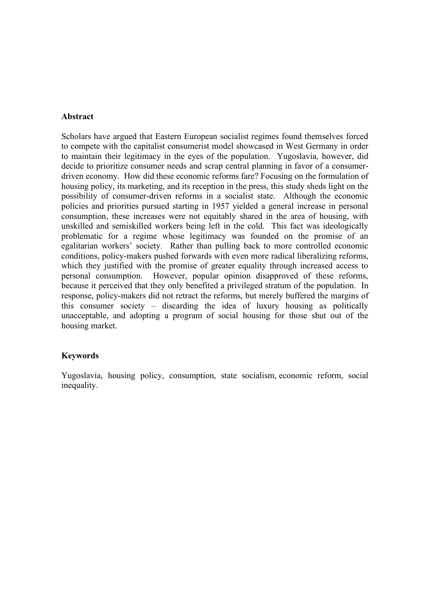#### **Abstract**

Scholars have argued that Eastern European socialist regimes found themselves forced to compete with the capitalist consumerist model showcased in West Germany in order to maintain their legitimacy in the eyes of the population. Yugoslavia, however, did decide to prioritize consumer needs and scrap central planning in favor of a consumerdriven economy. How did these economic reforms fare? Focusing on the formulation of housing policy, its marketing, and its reception in the press, this study sheds light on the possibility of consumer-driven reforms in a socialist state. Although the economic policies and priorities pursued starting in 1957 yielded a general increase in personal consumption, these increases were not equitably shared in the area of housing, with unskilled and semiskilled workers being left in the cold. This fact was ideologically problematic for a regime whose legitimacy was founded on the promise of an egalitarian workers' society. Rather than pulling back to more controlled economic conditions, policy-makers pushed forwards with even more radical liberalizing reforms, which they justified with the promise of greater equality through increased access to personal consumption. However, popular opinion disapproved of these reforms, because it perceived that they only benefited a privileged stratum of the population. In response, policy-makers did not retract the reforms, but merely buffered the margins of this consumer society – discarding the idea of luxury housing as politically unacceptable, and adopting a program of social housing for those shut out of the housing market.

## **Keywords**

Yugoslavia, housing policy, consumption, state socialism, economic reform, social inequality.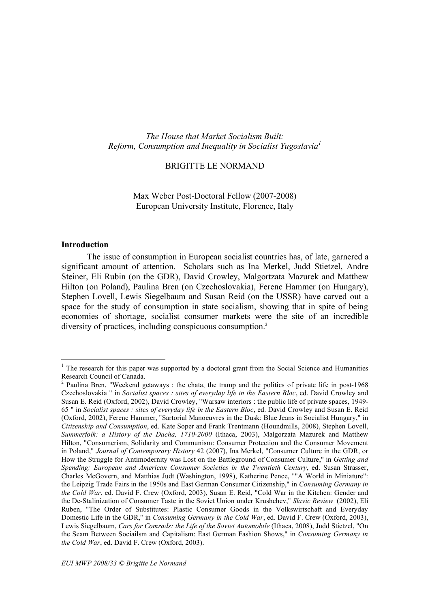*The House that Market Socialism Built: Reform, Consumption and Inequality in Socialist Yugoslavia 1*

#### BRIGITTE LE NORMAND

Max Weber Post-Doctoral Fellow (2007-2008) European University Institute, Florence, Italy

#### **Introduction**

The issue of consumption in European socialist countries has, of late, garnered a significant amount of attention. Scholars such as Ina Merkel, Judd Stietzel, Andre Steiner, Eli Rubin (on the GDR), David Crowley, Malgortzata Mazurek and Matthew Hilton (on Poland), Paulina Bren (on Czechoslovakia), Ferenc Hammer (on Hungary), Stephen Lovell, Lewis Siegelbaum and Susan Reid (on the USSR) have carved out a space for the study of consumption in state socialism, showing that in spite of being economies of shortage, socialist consumer markets were the site of an incredible diversity of practices, including conspicuous consumption.2

<sup>&</sup>lt;sup>1</sup> The research for this paper was supported by a doctoral grant from the Social Science and Humanities Research Council of Canada.<br><sup>2</sup> Paulina Bren, "Weekend getaways : the chata, the tramp and the politics of private life in post-1968

Czechoslovakia " in *Socialist spaces : sites of everyday life in the Eastern Bloc*, ed. David Crowley and Susan E. Reid (Oxford, 2002), David Crowley, "Warsaw interiors : the public life of private spaces, 1949- 65 " in *Socialist spaces : sites of everyday life in the Eastern Bloc*, ed. David Crowley and Susan E. Reid (Oxford, 2002), Ferenc Hammer, "Sartorial Manoeuvres in the Dusk: Blue Jeans in Socialist Hungary," in *Citizenship and Consumption*, ed. Kate Soper and Frank Trentmann (Houndmills, 2008), Stephen Lovell, *Summerfolk: a History of the Dacha, 1710-2000* (Ithaca, 2003), Malgorzata Mazurek and Matthew Hilton, "Consumerism, Solidarity and Communism: Consumer Protection and the Consumer Movement in Poland," *Journal of Contemporary History* 42 (2007), Ina Merkel, "Consumer Culture in the GDR, or How the Struggle for Antimodernity was Lost on the Battleground of Consumer Culture," in *Getting and Spending: European and American Consumer Societies in the Twentieth Century*, ed. Susan Strasser, Charles McGovern, and Matthias Judt (Washington, 1998), Katherine Pence, ""A World in Miniature": the Leipzig Trade Fairs in the 1950s and East German Consumer Citizenship," in *Consuming Germany in the Cold War*, ed. David F. Crew (Oxford, 2003), Susan E. Reid, "Cold War in the Kitchen: Gender and the De-Stalinization of Consumer Taste in the Soviet Union under Krushchev," *Slavic Review* (2002), Eli Ruben, "The Order of Substitutes: Plastic Consumer Goods in the Volkswirtschaft and Everyday Domestic Life in the GDR," in *Consuming Germany in the Cold War*, ed. David F. Crew (Oxford, 2003), Lewis Siegelbaum, *Cars for Comrads: the Life of the Soviet Automobile* (Ithaca, 2008), Judd Stietzel, "On the Seam Between Sociailsm and Capitalism: East German Fashion Shows," in *Consuming Germany in the Cold War*, ed. David F. Crew (Oxford, 2003).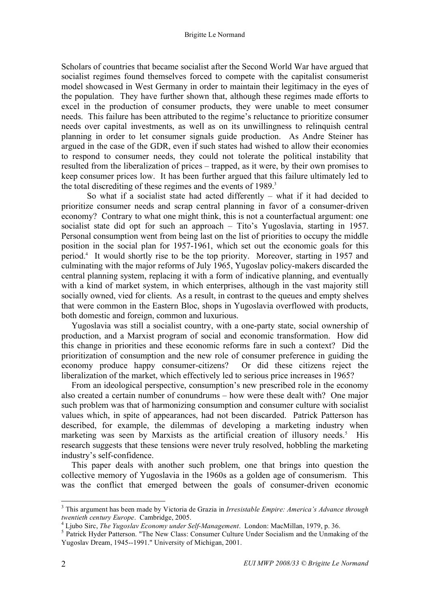Scholars of countries that became socialist after the Second World War have argued that socialist regimes found themselves forced to compete with the capitalist consumerist model showcased in West Germany in order to maintain their legitimacy in the eyes of the population. They have further shown that, although these regimes made efforts to excel in the production of consumer products, they were unable to meet consumer needs. This failure has been attributed to the regime's reluctance to prioritize consumer needs over capital investments, as well as on its unwillingness to relinquish central planning in order to let consumer signals guide production. As Andre Steiner has argued in the case of the GDR, even if such states had wished to allow their economies to respond to consumer needs, they could not tolerate the political instability that resulted from the liberalization of prices – trapped, as it were, by their own promises to keep consumer prices low. It has been further argued that this failure ultimately led to the total discrediting of these regimes and the events of 1989. 3

So what if a socialist state had acted differently – what if it had decided to prioritize consumer needs and scrap central planning in favor of a consumer-driven economy? Contrary to what one might think, this is not a counterfactual argument: one socialist state did opt for such an approach – Tito's Yugoslavia, starting in 1957. Personal consumption went from being last on the list of priorities to occupy the middle position in the social plan for 1957-1961, which set out the economic goals for this period.4 It would shortly rise to be the top priority. Moreover, starting in 1957 and culminating with the major reforms of July 1965, Yugoslav policy-makers discarded the central planning system, replacing it with a form of indicative planning, and eventually with a kind of market system, in which enterprises, although in the vast majority still socially owned, vied for clients. As a result, in contrast to the queues and empty shelves that were common in the Eastern Bloc, shops in Yugoslavia overflowed with products, both domestic and foreign, common and luxurious.

Yugoslavia was still a socialist country, with a one-party state, social ownership of production, and a Marxist program of social and economic transformation. How did this change in priorities and these economic reforms fare in such a context? Did the prioritization of consumption and the new role of consumer preference in guiding the economy produce happy consumer-citizens? Or did these citizens reject the liberalization of the market, which effectively led to serious price increases in 1965?

From an ideological perspective, consumption's new prescribed role in the economy also created a certain number of conundrums – how were these dealt with? One major such problem was that of harmonizing consumption and consumer culture with socialist values which, in spite of appearances, had not been discarded. Patrick Patterson has described, for example, the dilemmas of developing a marketing industry when marketing was seen by Marxists as the artificial creation of illusory needs.<sup>5</sup> **His** research suggests that these tensions were never truly resolved, hobbling the marketing industry's self-confidence.

This paper deals with another such problem, one that brings into question the collective memory of Yugoslavia in the 1960s as a golden age of consumerism. This was the conflict that emerged between the goals of consumer-driven economic

 <sup>3</sup> This argument has been made by Victoria de Grazia in *Irresistable Empire: America's Advance through* twentieth century Europe. Cambridge, 2005.<br><sup>4</sup> Ljubo Sirc, *The Yugoslav Economy under Self-Management*. London: MacMillan, 1979, p. 36.<br><sup>5</sup> Patrick Hyder Patterson. "The New Class: Consumer Culture Under Socialism and the

Yugoslav Dream, 1945--1991." University of Michigan, 2001.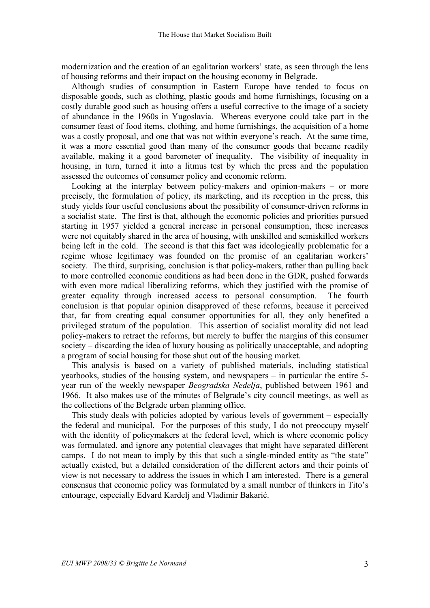modernization and the creation of an egalitarian workers' state, as seen through the lens of housing reforms and their impact on the housing economy in Belgrade.

Although studies of consumption in Eastern Europe have tended to focus on disposable goods, such as clothing, plastic goods and home furnishings, focusing on a costly durable good such as housing offers a useful corrective to the image of a society of abundance in the 1960s in Yugoslavia. Whereas everyone could take part in the consumer feast of food items, clothing, and home furnishings, the acquisition of a home was a costly proposal, and one that was not within everyone's reach. At the same time, it was a more essential good than many of the consumer goods that became readily available, making it a good barometer of inequality. The visibility of inequality in housing, in turn, turned it into a litmus test by which the press and the population assessed the outcomes of consumer policy and economic reform.

Looking at the interplay between policy-makers and opinion-makers – or more precisely, the formulation of policy, its marketing, and its reception in the press, this study yields four useful conclusions about the possibility of consumer-driven reforms in a socialist state. The first is that, although the economic policies and priorities pursued starting in 1957 yielded a general increase in personal consumption, these increases were not equitably shared in the area of housing, with unskilled and semiskilled workers being left in the cold. The second is that this fact was ideologically problematic for a regime whose legitimacy was founded on the promise of an egalitarian workers' society. The third, surprising, conclusion is that policy-makers, rather than pulling back to more controlled economic conditions as had been done in the GDR, pushed forwards with even more radical liberalizing reforms, which they justified with the promise of greater equality through increased access to personal consumption. The fourth conclusion is that popular opinion disapproved of these reforms, because it perceived that, far from creating equal consumer opportunities for all, they only benefited a privileged stratum of the population. This assertion of socialist morality did not lead policy-makers to retract the reforms, but merely to buffer the margins of this consumer society – discarding the idea of luxury housing as politically unacceptable, and adopting a program of social housing for those shut out of the housing market.

This analysis is based on a variety of published materials, including statistical yearbooks, studies of the housing system, and newspapers – in particular the entire 5 year run of the weekly newspaper *Beogradska Nedelja*, published between 1961 and 1966. It also makes use of the minutes of Belgrade's city council meetings, as well as the collections of the Belgrade urban planning office.

This study deals with policies adopted by various levels of government – especially the federal and municipal. For the purposes of this study, I do not preoccupy myself with the identity of policymakers at the federal level, which is where economic policy was formulated, and ignore any potential cleavages that might have separated different camps. I do not mean to imply by this that such a single-minded entity as "the state" actually existed, but a detailed consideration of the different actors and their points of view is not necessary to address the issues in which I am interested. There is a general consensus that economic policy was formulated by a small number of thinkers in Tito's entourage, especially Edvard Kardelj and Vladimir Bakarić.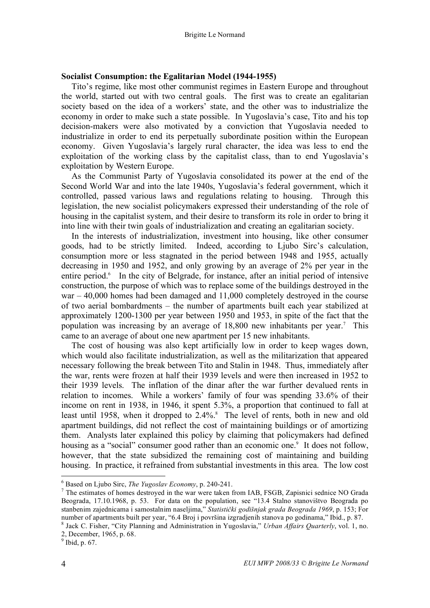#### **Socialist Consumption: the Egalitarian Model (1944-1955)**

Tito's regime, like most other communist regimes in Eastern Europe and throughout the world, started out with two central goals. The first was to create an egalitarian society based on the idea of a workers' state, and the other was to industrialize the economy in order to make such a state possible. In Yugoslavia's case, Tito and his top decision-makers were also motivated by a conviction that Yugoslavia needed to industrialize in order to end its perpetually subordinate position within the European economy. Given Yugoslavia's largely rural character, the idea was less to end the exploitation of the working class by the capitalist class, than to end Yugoslavia's exploitation by Western Europe.

As the Communist Party of Yugoslavia consolidated its power at the end of the Second World War and into the late 1940s, Yugoslavia's federal government, which it controlled, passed various laws and regulations relating to housing. Through this legislation, the new socialist policymakers expressed their understanding of the role of housing in the capitalist system, and their desire to transform its role in order to bring it into line with their twin goals of industrialization and creating an egalitarian society.

In the interests of industrialization, investment into housing, like other consumer goods, had to be strictly limited. Indeed, according to Ljubo Sirc's calculation, consumption more or less stagnated in the period between 1948 and 1955, actually decreasing in 1950 and 1952, and only growing by an average of 2% per year in the entire period.<sup>6</sup> In the city of Belgrade, for instance, after an initial period of intensive construction, the purpose of which was to replace some of the buildings destroyed in the war – 40,000 homes had been damaged and 11,000 completely destroyed in the course of two aerial bombardments – the number of apartments built each year stabilized at approximately 1200-1300 per year between 1950 and 1953, in spite of the fact that the population was increasing by an average of 18,800 new inhabitants per year. <sup>7</sup> This came to an average of about one new apartment per 15 new inhabitants.

The cost of housing was also kept artificially low in order to keep wages down, which would also facilitate industrialization, as well as the militarization that appeared necessary following the break between Tito and Stalin in 1948. Thus, immediately after the war, rents were frozen at half their 1939 levels and were then increased in 1952 to their 1939 levels. The inflation of the dinar after the war further devalued rents in relation to incomes. While a workers' family of four was spending 33.6% of their income on rent in 1938, in 1946, it spent 5.3%, a proportion that continued to fall at least until 1958, when it dropped to 2.4%. <sup>8</sup> The level of rents, both in new and old apartment buildings, did not reflect the cost of maintaining buildings or of amortizing them. Analysts later explained this policy by claiming that policymakers had defined housing as a "social" consumer good rather than an economic one.<sup>9</sup> It does not follow, however, that the state subsidized the remaining cost of maintaining and building housing. In practice, it refrained from substantial investments in this area. The low cost

<sup>6</sup> Based on Ljubo Sirc, *The Yugoslav Economy*, p. 240-241. <sup>7</sup> The estimates of homes destroyed in the war were taken from IAB, FSGB, Zapisnici sednice NO Grada Beograda, 17.10.1968, p. 53. For data on the population, see "13.4 Stalno stanovištvo Beograda po stanbenim zajednicama i samostalnim naseljima," *Statistički godišnjak grada Beograda 1969*, p. 153; For number of apartments built per year, "6.4 Broj i površina izgradjenih stanova po godinama," Ibid., p. 87.<br><sup>8</sup> Jack C. Fisher, "City Planning and Administration in Yugoslavia," *Urban Affairs Quarterly*, vol. 1, no.

<sup>2,</sup> December, 1965, p. 68. <sup>9</sup> Ibid, p. 67.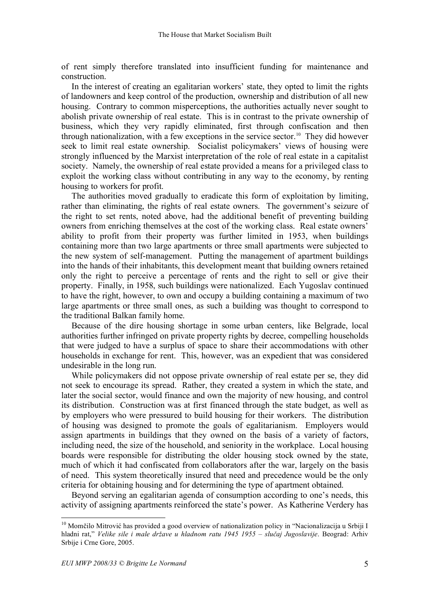of rent simply therefore translated into insufficient funding for maintenance and construction.

In the interest of creating an egalitarian workers' state, they opted to limit the rights of landowners and keep control of the production, ownership and distribution of all new housing. Contrary to common misperceptions, the authorities actually never sought to abolish private ownership of real estate. This is in contrast to the private ownership of business, which they very rapidly eliminated, first through confiscation and then through nationalization, with a few exceptions in the service sector. <sup>10</sup> They did however seek to limit real estate ownership. Socialist policymakers' views of housing were strongly influenced by the Marxist interpretation of the role of real estate in a capitalist society. Namely, the ownership of real estate provided a means for a privileged class to exploit the working class without contributing in any way to the economy, by renting housing to workers for profit.

The authorities moved gradually to eradicate this form of exploitation by limiting, rather than eliminating, the rights of real estate owners. The government's seizure of the right to set rents, noted above, had the additional benefit of preventing building owners from enriching themselves at the cost of the working class. Real estate owners' ability to profit from their property was further limited in 1953, when buildings containing more than two large apartments or three small apartments were subjected to the new system of self-management. Putting the management of apartment buildings into the hands of their inhabitants, this development meant that building owners retained only the right to perceive a percentage of rents and the right to sell or give their property. Finally, in 1958, such buildings were nationalized. Each Yugoslav continued to have the right, however, to own and occupy a building containing a maximum of two large apartments or three small ones, as such a building was thought to correspond to the traditional Balkan family home.

Because of the dire housing shortage in some urban centers, like Belgrade, local authorities further infringed on private property rights by decree, compelling households that were judged to have a surplus of space to share their accommodations with other households in exchange for rent. This, however, was an expedient that was considered undesirable in the long run.

While policymakers did not oppose private ownership of real estate per se, they did not seek to encourage its spread. Rather, they created a system in which the state, and later the social sector, would finance and own the majority of new housing, and control its distribution. Construction was at first financed through the state budget, as well as by employers who were pressured to build housing for their workers. The distribution of housing was designed to promote the goals of egalitarianism. Employers would assign apartments in buildings that they owned on the basis of a variety of factors, including need, the size of the household, and seniority in the workplace. Local housing boards were responsible for distributing the older housing stock owned by the state, much of which it had confiscated from collaborators after the war, largely on the basis of need. This system theoretically insured that need and precedence would be the only criteria for obtaining housing and for determining the type of apartment obtained.

Beyond serving an egalitarian agenda of consumption according to one's needs, this activity of assigning apartments reinforced the state's power. As Katherine Verdery has

<sup>&</sup>lt;sup>10</sup> Momčilo Mitrović has provided a good overview of nationalization policy in "Nacionalizacija u Srbiji I hladni rat," *Velike sile i male države u hladnom ratu 1945 1955 – slučaj Jugoslavije*. Beograd: Arhiv Srbije i Crne Gore, 2005.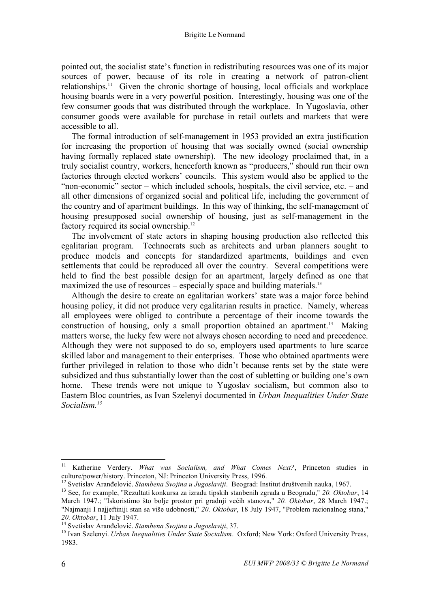pointed out, the socialist state's function in redistributing resources was one of its major sources of power, because of its role in creating a network of patron-client relationships. <sup>11</sup> Given the chronic shortage of housing, local officials and workplace housing boards were in a very powerful position. Interestingly, housing was one of the few consumer goods that was distributed through the workplace. In Yugoslavia, other consumer goods were available for purchase in retail outlets and markets that were accessible to all.

The formal introduction of self-management in 1953 provided an extra justification for increasing the proportion of housing that was socially owned (social ownership having formally replaced state ownership). The new ideology proclaimed that, in a truly socialist country, workers, henceforth known as "producers," should run their own factories through elected workers' councils. This system would also be applied to the "non-economic" sector – which included schools, hospitals, the civil service, etc. – and all other dimensions of organized social and political life, including the government of the country and of apartment buildings. In this way of thinking, the self-management of housing presupposed social ownership of housing, just as self-management in the factory required its social ownership.<sup>12</sup>

The involvement of state actors in shaping housing production also reflected this egalitarian program. Technocrats such as architects and urban planners sought to produce models and concepts for standardized apartments, buildings and even settlements that could be reproduced all over the country. Several competitions were held to find the best possible design for an apartment, largely defined as one that maximized the use of resources – especially space and building materials.<sup>13</sup>

Although the desire to create an egalitarian workers' state was a major force behind housing policy, it did not produce very egalitarian results in practice. Namely, whereas all employees were obliged to contribute a percentage of their income towards the construction of housing, only a small proportion obtained an apartment.<sup>14</sup> Making matters worse, the lucky few were not always chosen according to need and precedence. Although they were not supposed to do so, employers used apartments to lure scarce skilled labor and management to their enterprises. Those who obtained apartments were further privileged in relation to those who didn't because rents set by the state were subsidized and thus substantially lower than the cost of subletting or building one's own home. These trends were not unique to Yugoslav socialism, but common also to Eastern Bloc countries, as Ivan Szelenyi documented in *Urban Inequalities Under State Socialism. 15*

 <sup>11</sup> Katherine Verdery. *What was Socialism, and What Comes Next?*, Princeton studies in culture/power/history. Princeton, NJ: Princeton University Press, 1996.<br><sup>12</sup> Svetislav Aranđelović. *Stambena Svojina u Jugoslaviji*. Beograd: Institut društvenih nauka, 1967.<br><sup>13</sup> See, for example, "Rezultati konkursa za

March 1947.; "Iskoristimo što bolje prostor pri gradnji većih stanova," *20. Oktobar*, 28 March 1947.; "Najmanji I najjeftiniji stan sa više udobnosti," *20. Oktobar*, 18 July 1947, "Problem racionalnog stana," 20. Oktobar, 11 July 1947.<br><sup>14</sup> Svetislav Aranđelović. Stambena Svojina u Jugoslaviji, 37.<br><sup>15</sup> Ivan Szelenyi. Urban Inequalities Under State Socialism. Oxford; New York: Oxford University Press,

<sup>1983.</sup>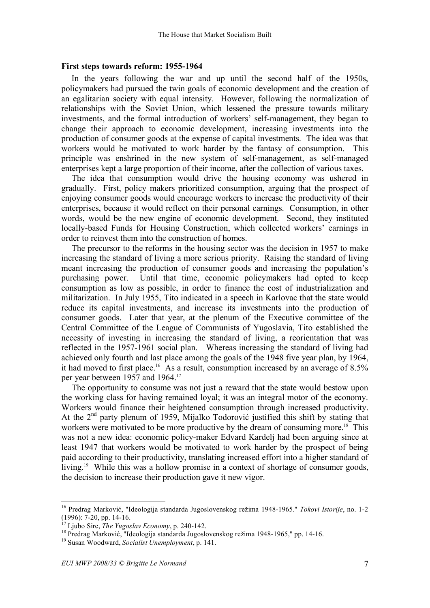#### **First steps towards reform: 1955-1964**

In the years following the war and up until the second half of the 1950s, policymakers had pursued the twin goals of economic development and the creation of an egalitarian society with equal intensity. However, following the normalization of relationships with the Soviet Union, which lessened the pressure towards military investments, and the formal introduction of workers' self-management, they began to change their approach to economic development, increasing investments into the production of consumer goods at the expense of capital investments. The idea was that workers would be motivated to work harder by the fantasy of consumption. This principle was enshrined in the new system of self-management, as self-managed enterprises kept a large proportion of their income, after the collection of various taxes.

The idea that consumption would drive the housing economy was ushered in gradually. First, policy makers prioritized consumption, arguing that the prospect of enjoying consumer goods would encourage workers to increase the productivity of their enterprises, because it would reflect on their personal earnings. Consumption, in other words, would be the new engine of economic development. Second, they instituted locally-based Funds for Housing Construction, which collected workers' earnings in order to reinvest them into the construction of homes.

The precursor to the reforms in the housing sector was the decision in 1957 to make increasing the standard of living a more serious priority. Raising the standard of living meant increasing the production of consumer goods and increasing the population's purchasing power. Until that time, economic policymakers had opted to keep consumption as low as possible, in order to finance the cost of industrialization and militarization. In July 1955, Tito indicated in a speech in Karlovac that the state would reduce its capital investments, and increase its investments into the production of consumer goods. Later that year, at the plenum of the Executive committee of the Central Committee of the League of Communists of Yugoslavia, Tito established the necessity of investing in increasing the standard of living, a reorientation that was reflected in the 1957-1961 social plan. Whereas increasing the standard of living had achieved only fourth and last place among the goals of the 1948 five year plan, by 1964, it had moved to first place.<sup>16</sup> As a result, consumption increased by an average of 8.5% per year between 1957 and 1964.<sup>17</sup>

The opportunity to consume was not just a reward that the state would bestow upon the working class for having remained loyal; it was an integral motor of the economy. Workers would finance their heightened consumption through increased productivity. At the 2<sup>nd</sup> party plenum of 1959, Mijalko Todorović justified this shift by stating that workers were motivated to be more productive by the dream of consuming more.<sup>18</sup> This was not a new idea: economic policy-maker Edvard Kardelj had been arguing since at least 1947 that workers would be motivated to work harder by the prospect of being paid according to their productivity, translating increased effort into a higher standard of living.<sup>19</sup> While this was a hollow promise in a context of shortage of consumer goods, the decision to increase their production gave it new vigor.

 <sup>16</sup> Predrag Marković, "Ideologija standarda Jugoslovenskog režima 1948-1965." *Tokovi Istorije*, no. 1-2 (1996): 7-20, pp. 14-16.<br><sup>17</sup> Ljubo Sirc, *The Yugoslav Economy*, p. 240-142.<br><sup>18</sup> Predrag Marković, "Ideologija standarda Jugoslovenskog režima 1948-1965," pp. 14-16.<br><sup>19</sup> Susan Woodward, *Socialist Unemployment*, p. 141.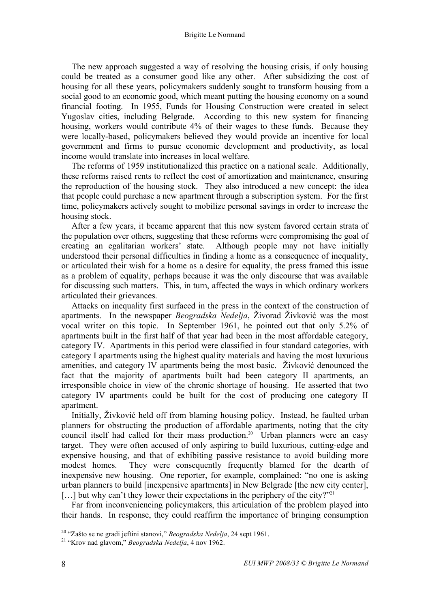The new approach suggested a way of resolving the housing crisis, if only housing could be treated as a consumer good like any other. After subsidizing the cost of housing for all these years, policymakers suddenly sought to transform housing from a social good to an economic good, which meant putting the housing economy on a sound financial footing. In 1955, Funds for Housing Construction were created in select Yugoslav cities, including Belgrade. According to this new system for financing housing, workers would contribute 4% of their wages to these funds. Because they were locally-based, policymakers believed they would provide an incentive for local government and firms to pursue economic development and productivity, as local income would translate into increases in local welfare.

The reforms of 1959 institutionalized this practice on a national scale. Additionally, these reforms raised rents to reflect the cost of amortization and maintenance, ensuring the reproduction of the housing stock. They also introduced a new concept: the idea that people could purchase a new apartment through a subscription system. For the first time, policymakers actively sought to mobilize personal savings in order to increase the housing stock.

After a few years, it became apparent that this new system favored certain strata of the population over others, suggesting that these reforms were compromising the goal of creating an egalitarian workers' state. Although people may not have initially understood their personal difficulties in finding a home as a consequence of inequality, or articulated their wish for a home as a desire for equality, the press framed this issue as a problem of equality, perhaps because it was the only discourse that was available for discussing such matters. This, in turn, affected the ways in which ordinary workers articulated their grievances.

Attacks on inequality first surfaced in the press in the context of the construction of apartments. In the newspaper *Beogradska Nedelja*, Živorad Živković was the most vocal writer on this topic. In September 1961, he pointed out that only 5.2% of apartments built in the first half of that year had been in the most affordable category, category IV. Apartments in this period were classified in four standard categories, with category I apartments using the highest quality materials and having the most luxurious amenities, and category IV apartments being the most basic. Živković denounced the fact that the majority of apartments built had been category II apartments, an irresponsible choice in view of the chronic shortage of housing. He asserted that two category IV apartments could be built for the cost of producing one category II apartment.

Initially, Živković held off from blaming housing policy. Instead, he faulted urban planners for obstructing the production of affordable apartments, noting that the city council itself had called for their mass production.<sup>20</sup> Urban planners were an easy target. They were often accused of only aspiring to build luxurious, cutting-edge and expensive housing, and that of exhibiting passive resistance to avoid building more modest homes. They were consequently frequently blamed for the dearth of inexpensive new housing. One reporter, for example, complained: "no one is asking urban planners to build [inexpensive apartments] in New Belgrade [the new city center], [...] but why can't they lower their expectations in the periphery of the city?"<sup>21</sup>

Far from inconveniencing policymakers, this articulation of the problem played into their hands. In response, they could reaffirm the importance of bringing consumption

<sup>20</sup> "Zašto se ne gradi jeftini stanovi," *Beogradska Nedelja*, <sup>24</sup> sept 1961. <sup>21</sup> "Krov nad glavom," *Beogradska Nedelja*, <sup>4</sup> nov 1962.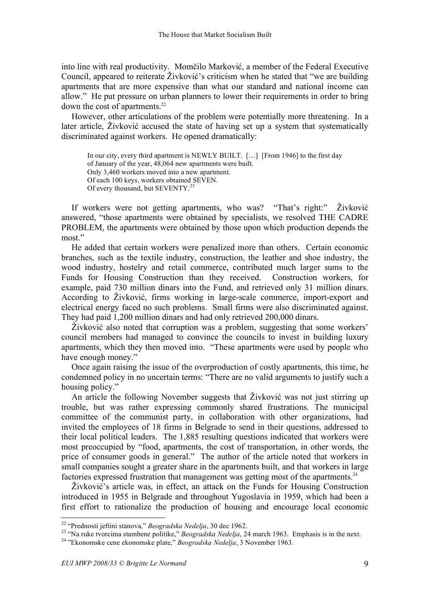into line with real productivity. Momčilo Marković, a member of the Federal Executive Council, appeared to reiterate Živković's criticism when he stated that "we are building apartments that are more expensive than what our standard and national income can allow." He put pressure on urban planners to lower their requirements in order to bring down the cost of apartments. 22

However, other articulations of the problem were potentially more threatening. In a later article, Živković accused the state of having set up a system that systematically discriminated against workers. He opened dramatically:

In our city, every third apartment is NEWLY BUILT. […] [From 1946] to the first day of January of the year, 48,064 new apartments were built. Only 3,460 workers moved into a new apartment. Of each 100 keys, workers obtained SEVEN. Of every thousand, but SEVENTY.<sup>23</sup>

If workers were not getting apartments, who was? "That's right:" Živković answered, "those apartments were obtained by specialists, we resolved THE CADRE PROBLEM, the apartments were obtained by those upon which production depends the most."

He added that certain workers were penalized more than others. Certain economic branches, such as the textile industry, construction, the leather and shoe industry, the wood industry, hostelry and retail commerce, contributed much larger sums to the Funds for Housing Construction than they received. Construction workers, for example, paid 730 million dinars into the Fund, and retrieved only 31 million dinars. According to Živković, firms working in large-scale commerce, import-export and electrical energy faced no such problems. Small firms were also discriminated against. They had paid 1,200 million dinars and had only retrieved 200,000 dinars.

Živković also noted that corruption was a problem, suggesting that some workers' council members had managed to convince the councils to invest in building luxury apartments, which they then moved into. "These apartments were used by people who have enough money."

Once again raising the issue of the overproduction of costly apartments, this time, he condemned policy in no uncertain terms: "There are no valid arguments to justify such a housing policy."

An article the following November suggests that Živković was not just stirring up trouble, but was rather expressing commonly shared frustrations. The municipal committee of the communist party, in collaboration with other organizations, had invited the employees of 18 firms in Belgrade to send in their questions, addressed to their local political leaders. The 1,885 resulting questions indicated that workers were most preoccupied by "food, apartments, the cost of transportation, in other words, the price of consumer goods in general." The author of the article noted that workers in small companies sought a greater share in the apartments built, and that workers in large factories expressed frustration that management was getting most of the apartments.<sup>24</sup>

Živković's article was, in effect, an attack on the Funds for Housing Construction introduced in 1955 in Belgrade and throughout Yugoslavia in 1959, which had been a first effort to rationalize the production of housing and encourage local economic

<sup>&</sup>lt;sup>22</sup> "Prednosti jeftini stanova," *Beogradska Nedelja*, 30 dec 1962.<br><sup>23</sup> "Na ruke tvorcima stambene politike," *Beogradska Nedelja*, 24 march 1963. Emphasis is in the next.<br><sup>24</sup> "Ekonomske cene ekonomske plate," *Beograd*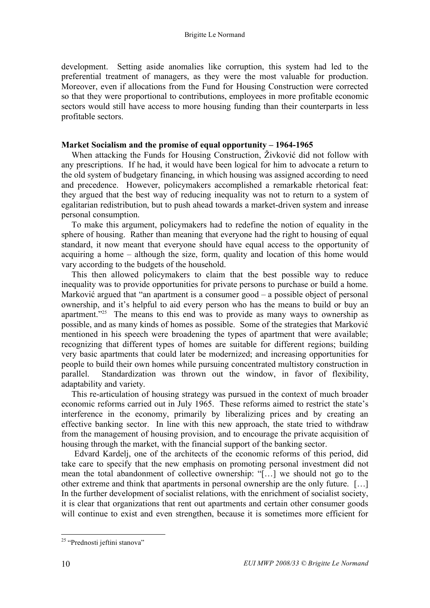development. Setting aside anomalies like corruption, this system had led to the preferential treatment of managers, as they were the most valuable for production. Moreover, even if allocations from the Fund for Housing Construction were corrected so that they were proportional to contributions, employees in more profitable economic sectors would still have access to more housing funding than their counterparts in less profitable sectors.

#### **Market Socialism and the promise of equal opportunity – 1964-1965**

When attacking the Funds for Housing Construction, Živković did not follow with any prescriptions. If he had, it would have been logical for him to advocate a return to the old system of budgetary financing, in which housing was assigned according to need and precedence. However, policymakers accomplished a remarkable rhetorical feat: they argued that the best way of reducing inequality was not to return to a system of egalitarian redistribution, but to push ahead towards a market-driven system and inrease personal consumption.

To make this argument, policymakers had to redefine the notion of equality in the sphere of housing. Rather than meaning that everyone had the right to housing of equal standard, it now meant that everyone should have equal access to the opportunity of acquiring a home – although the size, form, quality and location of this home would vary according to the budgets of the household.

This then allowed policymakers to claim that the best possible way to reduce inequality was to provide opportunities for private persons to purchase or build a home. Marković argued that "an apartment is a consumer good – a possible object of personal ownership, and it's helpful to aid every person who has the means to build or buy an apartment."<sup>25</sup> The means to this end was to provide as many ways to ownership as possible, and as many kinds of homes as possible. Some of the strategies that Marković mentioned in his speech were broadening the types of apartment that were available; recognizing that different types of homes are suitable for different regions; building very basic apartments that could later be modernized; and increasing opportunities for people to build their own homes while pursuing concentrated multistory construction in parallel. Standardization was thrown out the window, in favor of flexibility, adaptability and variety.

This re-articulation of housing strategy was pursued in the context of much broader economic reforms carried out in July 1965. These reforms aimed to restrict the state's interference in the economy, primarily by liberalizing prices and by creating an effective banking sector. In line with this new approach, the state tried to withdraw from the management of housing provision, and to encourage the private acquisition of housing through the market, with the financial support of the banking sector.

Edvard Kardelj, one of the architects of the economic reforms of this period, did take care to specify that the new emphasis on promoting personal investment did not mean the total abandonment of collective ownership: "[…] we should not go to the other extreme and think that apartments in personal ownership are the only future. […] In the further development of socialist relations, with the enrichment of socialist society, it is clear that organizations that rent out apartments and certain other consumer goods will continue to exist and even strengthen, because it is sometimes more efficient for

 <sup>25</sup> "Prednosti jeftini stanova"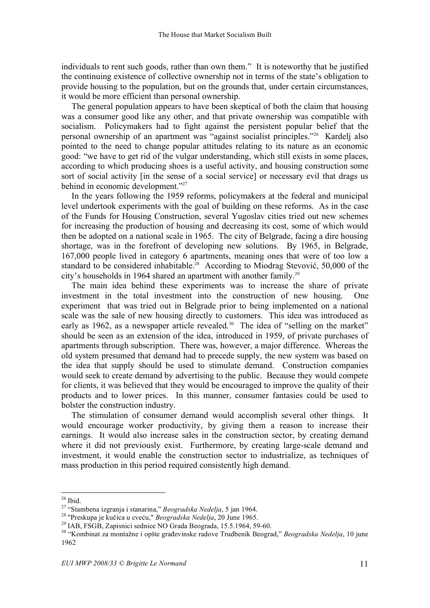individuals to rent such goods, rather than own them." It is noteworthy that he justified the continuing existence of collective ownership not in terms of the state's obligation to provide housing to the population, but on the grounds that, under certain circumstances, it would be more efficient than personal ownership.

The general population appears to have been skeptical of both the claim that housing was a consumer good like any other, and that private ownership was compatible with socialism. Policymakers had to fight against the persistent popular belief that the personal ownership of an apartment was "against socialist principles."26 Kardelj also pointed to the need to change popular attitudes relating to its nature as an economic good: "we have to get rid of the vulgar understanding, which still exists in some places, according to which producing shoes is a useful activity, and housing construction some sort of social activity [in the sense of a social service] or necessary evil that drags us behind in economic development."27

In the years following the 1959 reforms, policymakers at the federal and municipal level undertook experiments with the goal of building on these reforms. As in the case of the Funds for Housing Construction, several Yugoslav cities tried out new schemes for increasing the production of housing and decreasing its cost, some of which would then be adopted on a national scale in 1965. The city of Belgrade, facing a dire housing shortage, was in the forefront of developing new solutions. By 1965, in Belgrade, 167,000 people lived in category 6 apartments, meaning ones that were of too low a standard to be considered inhabitable. <sup>28</sup> According to Miodrag Stevović, 50,000 of the city's households in 1964 shared an apartment with another family.29

The main idea behind these experiments was to increase the share of private investment in the total investment into the construction of new housing. One experiment that was tried out in Belgrade prior to being implemented on a national scale was the sale of new housing directly to customers. This idea was introduced as early as 1962, as a newspaper article revealed.<sup>30</sup> The idea of "selling on the market" should be seen as an extension of the idea, introduced in 1959, of private purchases of apartments through subscription. There was, however, a major difference. Whereas the old system presumed that demand had to precede supply, the new system was based on the idea that supply should be used to stimulate demand. Construction companies would seek to create demand by advertising to the public. Because they would compete for clients, it was believed that they would be encouraged to improve the quality of their products and to lower prices. In this manner, consumer fantasies could be used to bolster the construction industry.

The stimulation of consumer demand would accomplish several other things. It would encourage worker productivity, by giving them a reason to increase their earnings. It would also increase sales in the construction sector, by creating demand where it did not previously exist. Furthermore, by creating large-scale demand and investment, it would enable the construction sector to industrialize, as techniques of mass production in this period required consistently high demand.

<sup>&</sup>lt;sup>26</sup> Ibid.<br><sup>27</sup> "Stambena izgranja i stanarina," *Beogradska Nedelja*, 5 jan 1964.<br><sup>28</sup> "Preskupa je kučica u cveću," *Beogradska Nedelja*, 20 June 1965.<br><sup>29</sup> IAB, FSGB, Zapisnici sednice NO Grada Beograda, 15.5.1964, 59-6 1962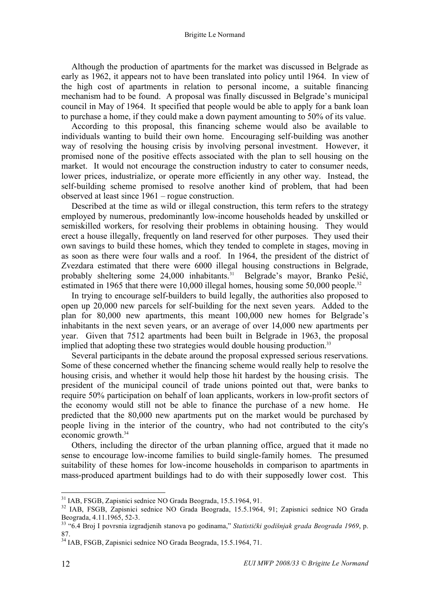Although the production of apartments for the market was discussed in Belgrade as early as 1962, it appears not to have been translated into policy until 1964. In view of the high cost of apartments in relation to personal income, a suitable financing mechanism had to be found. A proposal was finally discussed in Belgrade's municipal council in May of 1964. It specified that people would be able to apply for a bank loan to purchase a home, if they could make a down payment amounting to 50% of its value.

According to this proposal, this financing scheme would also be available to individuals wanting to build their own home. Encouraging self-building was another way of resolving the housing crisis by involving personal investment. However, it promised none of the positive effects associated with the plan to sell housing on the market. It would not encourage the construction industry to cater to consumer needs, lower prices, industrialize, or operate more efficiently in any other way. Instead, the self-building scheme promised to resolve another kind of problem, that had been observed at least since 1961 – rogue construction.

Described at the time as wild or illegal construction, this term refers to the strategy employed by numerous, predominantly low-income households headed by unskilled or semiskilled workers, for resolving their problems in obtaining housing. They would erect a house illegally, frequently on land reserved for other purposes. They used their own savings to build these homes, which they tended to complete in stages, moving in as soon as there were four walls and a roof. In 1964, the president of the district of Zvezdara estimated that there were 6000 illegal housing constructions in Belgrade, probably sheltering some 24,000 inhabitants. <sup>31</sup> Belgrade's mayor, Branko Pešić, estimated in 1965 that there were 10,000 illegal homes, housing some 50,000 people.<sup>32</sup>

In trying to encourage self-builders to build legally, the authorities also proposed to open up 20,000 new parcels for self-building for the next seven years. Added to the plan for 80,000 new apartments, this meant 100,000 new homes for Belgrade's inhabitants in the next seven years, or an average of over 14,000 new apartments per year. Given that 7512 apartments had been built in Belgrade in 1963, the proposal implied that adopting these two strategies would double housing production.<sup>33</sup>

Several participants in the debate around the proposal expressed serious reservations. Some of these concerned whether the financing scheme would really help to resolve the housing crisis, and whether it would help those hit hardest by the housing crisis. The president of the municipal council of trade unions pointed out that, were banks to require 50% participation on behalf of loan applicants, workers in low-profit sectors of the economy would still not be able to finance the purchase of a new home. He predicted that the 80,000 new apartments put on the market would be purchased by people living in the interior of the country, who had not contributed to the city's economic growth.<sup>34</sup>

Others, including the director of the urban planning office, argued that it made no sense to encourage low-income families to build single-family homes. The presumed suitability of these homes for low-income households in comparison to apartments in mass-produced apartment buildings had to do with their supposedly lower cost. This

<sup>&</sup>lt;sup>31</sup> IAB, FSGB, Zapisnici sednice NO Grada Beograda, 15.5.1964, 91.<br><sup>32</sup> IAB, FSGB, Zapisnici sednice NO Grada Beograda, 15.5.1964, 91; Zapisnici sednice NO Grada Beograda, 4.11.1965, 52-3. <sup>33</sup> "6.4 Broj <sup>I</sup> povrsnia izgradjenih stanova po godinama," *Statistički godišnjak grada Beograda <sup>1969</sup>*, p.

<sup>87.</sup> <sup>34</sup> IAB, FSGB, Zapisnici sednice NO Grada Beograda, 15.5.1964, 71.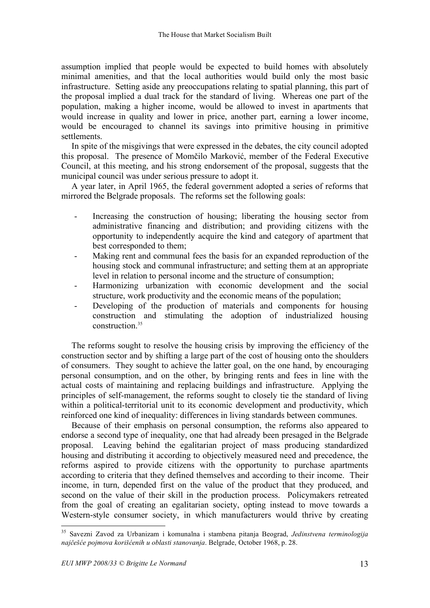assumption implied that people would be expected to build homes with absolutely minimal amenities, and that the local authorities would build only the most basic infrastructure. Setting aside any preoccupations relating to spatial planning, this part of the proposal implied a dual track for the standard of living. Whereas one part of the population, making a higher income, would be allowed to invest in apartments that would increase in quality and lower in price, another part, earning a lower income, would be encouraged to channel its savings into primitive housing in primitive settlements.

In spite of the misgivings that were expressed in the debates, the city council adopted this proposal. The presence of Momčilo Marković, member of the Federal Executive Council, at this meeting, and his strong endorsement of the proposal, suggests that the municipal council was under serious pressure to adopt it.

A year later, in April 1965, the federal government adopted a series of reforms that mirrored the Belgrade proposals. The reforms set the following goals:

- Increasing the construction of housing; liberating the housing sector from administrative financing and distribution; and providing citizens with the opportunity to independently acquire the kind and category of apartment that best corresponded to them;
- Making rent and communal fees the basis for an expanded reproduction of the housing stock and communal infrastructure; and setting them at an appropriate level in relation to personal income and the structure of consumption;
- Harmonizing urbanization with economic development and the social structure, work productivity and the economic means of the population;
- Developing of the production of materials and components for housing construction and stimulating the adoption of industrialized housing construction.<sup>35</sup>

The reforms sought to resolve the housing crisis by improving the efficiency of the construction sector and by shifting a large part of the cost of housing onto the shoulders of consumers. They sought to achieve the latter goal, on the one hand, by encouraging personal consumption, and on the other, by bringing rents and fees in line with the actual costs of maintaining and replacing buildings and infrastructure. Applying the principles of self-management, the reforms sought to closely tie the standard of living within a political-territorial unit to its economic development and productivity, which reinforced one kind of inequality: differences in living standards between communes.

Because of their emphasis on personal consumption, the reforms also appeared to endorse a second type of inequality, one that had already been presaged in the Belgrade proposal. Leaving behind the egalitarian project of mass producing standardized housing and distributing it according to objectively measured need and precedence, the reforms aspired to provide citizens with the opportunity to purchase apartments according to criteria that they defined themselves and according to their income. Their income, in turn, depended first on the value of the product that they produced, and second on the value of their skill in the production process. Policymakers retreated from the goal of creating an egalitarian society, opting instead to move towards a Western-style consumer society, in which manufacturers would thrive by creating

 <sup>35</sup> Savezni Zavod za Urbanizam <sup>i</sup> komunalna <sup>i</sup> stambena pitanja Beograd, *Jedinstvena terminologija najčešće pojmova korišćenih u oblasti stanovanja*. Belgrade, October 1968, p. 28.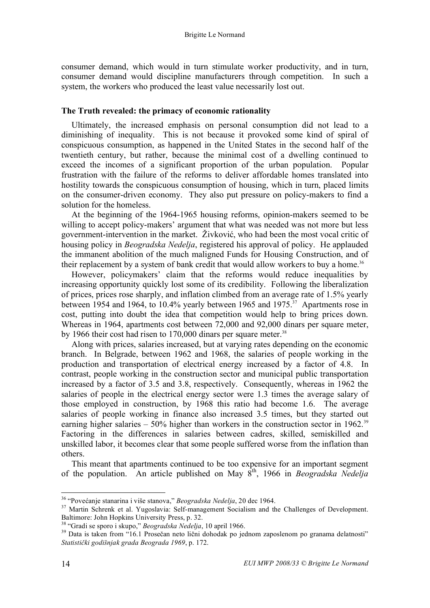consumer demand, which would in turn stimulate worker productivity, and in turn, consumer demand would discipline manufacturers through competition. In such a system, the workers who produced the least value necessarily lost out.

#### **The Truth revealed: the primacy of economic rationality**

Ultimately, the increased emphasis on personal consumption did not lead to a diminishing of inequality. This is not because it provoked some kind of spiral of conspicuous consumption, as happened in the United States in the second half of the twentieth century, but rather, because the minimal cost of a dwelling continued to exceed the incomes of a significant proportion of the urban population. Popular frustration with the failure of the reforms to deliver affordable homes translated into hostility towards the conspicuous consumption of housing, which in turn, placed limits on the consumer-driven economy. They also put pressure on policy-makers to find a solution for the homeless.

At the beginning of the 1964-1965 housing reforms, opinion-makers seemed to be willing to accept policy-makers' argument that what was needed was not more but less government-intervention in the market. Živković, who had been the most vocal critic of housing policy in *Beogradska Nedelja*, registered his approval of policy. He applauded the immanent abolition of the much maligned Funds for Housing Construction, and of their replacement by a system of bank credit that would allow workers to buy a home.<sup>36</sup>

However, policymakers' claim that the reforms would reduce inequalities by increasing opportunity quickly lost some of its credibility. Following the liberalization of prices, prices rose sharply, and inflation climbed from an average rate of 1.5% yearly between 1954 and 1964, to 10.4% yearly between 1965 and 1975.<sup>37</sup> Apartments rose in cost, putting into doubt the idea that competition would help to bring prices down. Whereas in 1964, apartments cost between 72,000 and 92,000 dinars per square meter, by 1966 their cost had risen to 170,000 dinars per square meter.<sup>38</sup>

Along with prices, salaries increased, but at varying rates depending on the economic branch. In Belgrade, between 1962 and 1968, the salaries of people working in the production and transportation of electrical energy increased by a factor of 4.8. In contrast, people working in the construction sector and municipal public transportation increased by a factor of 3.5 and 3.8, respectively. Consequently, whereas in 1962 the salaries of people in the electrical energy sector were 1.3 times the average salary of those employed in construction, by 1968 this ratio had become 1.6. The average salaries of people working in finance also increased 3.5 times, but they started out earning higher salaries  $-50\%$  higher than workers in the construction sector in 1962.<sup>39</sup> Factoring in the differences in salaries between cadres, skilled, semiskilled and unskilled labor, it becomes clear that some people suffered worse from the inflation than others.

This meant that apartments continued to be too expensive for an important segment of the population. An article published on May 8th , 1966 in *Beogradska Nedelja*

<sup>&</sup>lt;sup>36</sup> "Povećanje stanarina i više stanova," *Beogradska Nedelja*, 20 dec 1964.<br><sup>37</sup> Martin Schrenk et al. Yugoslavia: Self-management Socialism and the Challenges of Development.<br>Baltimore: John Hopkins University Press, p.

<sup>&</sup>lt;sup>38</sup> "Gradi se sporo i skupo," *Beogradska Nedelja*, 10 april 1966.<br><sup>39</sup> Data is taken from "16.1 Prosečan neto lični dohodak po jednom zaposlenom po granama delatnosti" *Statistički godišnjak grada Beograda 1969*, p. 172.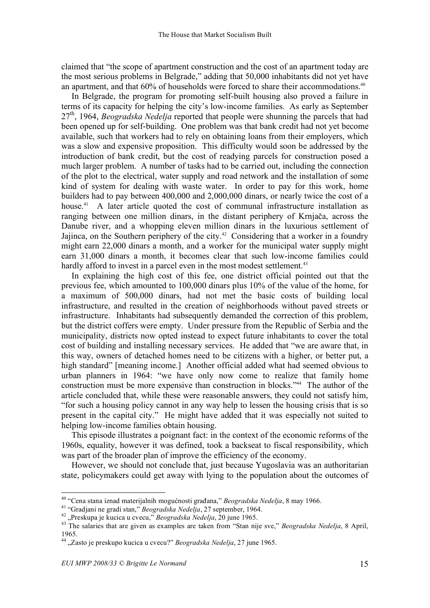claimed that "the scope of apartment construction and the cost of an apartment today are the most serious problems in Belgrade," adding that 50,000 inhabitants did not yet have an apartment, and that 60% of households were forced to share their accommodations.<sup>40</sup>

In Belgrade, the program for promoting self-built housing also proved a failure in terms of its capacity for helping the city's low-income families. As early as September 27<sup>th</sup>, 1964, *Beogradska Nedelja* reported that people were shunning the parcels that had been opened up for self-building. One problem was that bank credit had not yet become available, such that workers had to rely on obtaining loans from their employers, which was a slow and expensive proposition. This difficulty would soon be addressed by the introduction of bank credit, but the cost of readying parcels for construction posed a much larger problem. A number of tasks had to be carried out, including the connection of the plot to the electrical, water supply and road network and the installation of some kind of system for dealing with waste water. In order to pay for this work, home builders had to pay between 400,000 and 2,000,000 dinars, or nearly twice the cost of a house.<sup>41</sup> A later article quoted the cost of communal infrastructure installation as ranging between one million dinars, in the distant periphery of Krnjača, across the Danube river, and a whopping eleven million dinars in the luxurious settlement of Jajinca, on the Southern periphery of the city.<sup>42</sup> Considering that a worker in a foundry might earn 22,000 dinars a month, and a worker for the municipal water supply might earn 31,000 dinars a month, it becomes clear that such low-income families could hardly afford to invest in a parcel even in the most modest settlement.<sup>43</sup>

In explaining the high cost of this fee, one district official pointed out that the previous fee, which amounted to 100,000 dinars plus 10% of the value of the home, for a maximum of 500,000 dinars, had not met the basic costs of building local infrastructure, and resulted in the creation of neighborhoods without paved streets or infrastructure. Inhabitants had subsequently demanded the correction of this problem, but the district coffers were empty. Under pressure from the Republic of Serbia and the municipality, districts now opted instead to expect future inhabitants to cover the total cost of building and installing necessary services. He added that "we are aware that, in this way, owners of detached homes need to be citizens with a higher, or better put, a high standard" [meaning income.] Another official added what had seemed obvious to urban planners in 1964: "we have only now come to realize that family home construction must be more expensive than construction in blocks."44 The author of the article concluded that, while these were reasonable answers, they could not satisfy him, "for such a housing policy cannot in any way help to lessen the housing crisis that is so present in the capital city." He might have added that it was especially not suited to helping low-income families obtain housing.

This episode illustrates a poignant fact: in the context of the economic reforms of the 1960s, equality, however it was defined, took a backseat to fiscal responsibility, which was part of the broader plan of improve the efficiency of the economy.

However, we should not conclude that, just because Yugoslavia was an authoritarian state, policymakers could get away with lying to the population about the outcomes of

<sup>&</sup>lt;sup>40</sup> "Cena stana iznad materijalnih mogućnosti građana," *Beogradska Nedelja*, 8 may 1966.<br><sup>41</sup> "Gradjani ne gradi stan," *Beogradska Nedelja*, 27 september, 1964.<br><sup>42</sup> "Preskupa je kucica u cvecu," *Beogradska Nedelja*, 1965. <sup>44</sup> "Zasto je preskupo kucica <sup>u</sup> cvecu?" *Beogradska Nedelja*, <sup>27</sup> june 1965.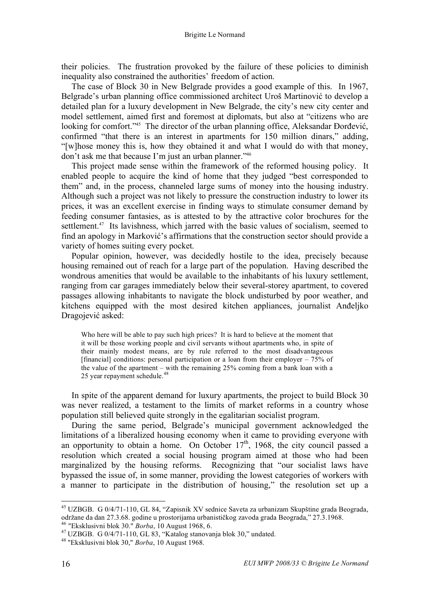their policies. The frustration provoked by the failure of these policies to diminish inequality also constrained the authorities' freedom of action.

The case of Block 30 in New Belgrade provides a good example of this. In 1967, Belgrade's urban planning office commissioned architect Uroš Martinović to develop a detailed plan for a luxury development in New Belgrade, the city's new city center and model settlement, aimed first and foremost at diplomats, but also at "citizens who are looking for comfort."45 The director of the urban planning office, Aleksandar Đorđević, confirmed "that there is an interest in apartments for 150 million dinars," adding, "[w]hose money this is, how they obtained it and what I would do with that money, don't ask me that because I'm just an urban planner."46

This project made sense within the framework of the reformed housing policy. It enabled people to acquire the kind of home that they judged "best corresponded to them" and, in the process, channeled large sums of money into the housing industry. Although such a project was not likely to pressure the construction industry to lower its prices, it was an excellent exercise in finding ways to stimulate consumer demand by feeding consumer fantasies, as is attested to by the attractive color brochures for the settlement.<sup>47</sup> Its lavishness, which jarred with the basic values of socialism, seemed to find an apology in Marković's affirmations that the construction sector should provide a variety of homes suiting every pocket.

Popular opinion, however, was decidedly hostile to the idea, precisely because housing remained out of reach for a large part of the population. Having described the wondrous amenities that would be available to the inhabitants of his luxury settlement, ranging from car garages immediately below their several-storey apartment, to covered passages allowing inhabitants to navigate the block undisturbed by poor weather, and kitchens equipped with the most desired kitchen appliances, journalist Anđeljko Dragojević asked:

Who here will be able to pay such high prices? It is hard to believe at the moment that it will be those working people and civil servants without apartments who, in spite of their mainly modest means, are by rule referred to the most disadvantageous [financial] conditions: personal participation or a loan from their employer –  $75\%$  of the value of the apartment – with the remaining 25% coming from a bank loan with a 25 year repayment schedule.<sup>48</sup>

In spite of the apparent demand for luxury apartments, the project to build Block 30 was never realized, a testament to the limits of market reforms in a country whose population still believed quite strongly in the egalitarian socialist program.

During the same period, Belgrade's municipal government acknowledged the limitations of a liberalized housing economy when it came to providing everyone with an opportunity to obtain a home. On October  $17<sup>th</sup>$ , 1968, the city council passed a resolution which created a social housing program aimed at those who had been marginalized by the housing reforms. Recognizing that "our socialist laws have bypassed the issue of, in some manner, providing the lowest categories of workers with a manner to participate in the distribution of housing," the resolution set up a

<sup>&</sup>lt;sup>45</sup> UZBGB. G 0/4/71-110, GL 84, "Zapisnik XV sednice Saveta za urbanizam Skupštine grada Beograda, održane da dan 27.3.68. godine u prostorijama urbanističkog zavoda grada Beograda," 27.3.1968.

<sup>&</sup>lt;sup>46</sup> "Eksklusivni blok 30." *Borba*, 10 August 1968, 6.<br><sup>47</sup> UZBGB. G 0/4/71-110, GL 83, "Katalog stanovanja blok 30," undated.<br><sup>48</sup> "Eksklusivni blok 30," *Borba*, 10 August 1968.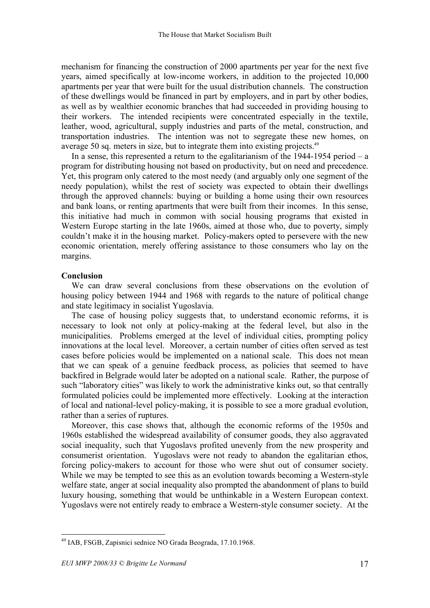mechanism for financing the construction of 2000 apartments per year for the next five years, aimed specifically at low-income workers, in addition to the projected 10,000 apartments per year that were built for the usual distribution channels. The construction of these dwellings would be financed in part by employers, and in part by other bodies, as well as by wealthier economic branches that had succeeded in providing housing to their workers. The intended recipients were concentrated especially in the textile, leather, wood, agricultural, supply industries and parts of the metal, construction, and transportation industries. The intention was not to segregate these new homes, on average 50 sq. meters in size, but to integrate them into existing projects.<sup>49</sup>

In a sense, this represented a return to the egalitarianism of the  $1944-1954$  period – a program for distributing housing not based on productivity, but on need and precedence. Yet, this program only catered to the most needy (and arguably only one segment of the needy population), whilst the rest of society was expected to obtain their dwellings through the approved channels: buying or building a home using their own resources and bank loans, or renting apartments that were built from their incomes. In this sense, this initiative had much in common with social housing programs that existed in Western Europe starting in the late 1960s, aimed at those who, due to poverty, simply couldn't make it in the housing market. Policy-makers opted to persevere with the new economic orientation, merely offering assistance to those consumers who lay on the margins.

## **Conclusion**

We can draw several conclusions from these observations on the evolution of housing policy between 1944 and 1968 with regards to the nature of political change and state legitimacy in socialist Yugoslavia.

The case of housing policy suggests that, to understand economic reforms, it is necessary to look not only at policy-making at the federal level, but also in the municipalities. Problems emerged at the level of individual cities, prompting policy innovations at the local level. Moreover, a certain number of cities often served as test cases before policies would be implemented on a national scale. This does not mean that we can speak of a genuine feedback process, as policies that seemed to have backfired in Belgrade would later be adopted on a national scale. Rather, the purpose of such "laboratory cities" was likely to work the administrative kinks out, so that centrally formulated policies could be implemented more effectively. Looking at the interaction of local and national-level policy-making, it is possible to see a more gradual evolution, rather than a series of ruptures.

Moreover, this case shows that, although the economic reforms of the 1950s and 1960s established the widespread availability of consumer goods, they also aggravated social inequality, such that Yugoslavs profited unevenly from the new prosperity and consumerist orientation. Yugoslavs were not ready to abandon the egalitarian ethos, forcing policy-makers to account for those who were shut out of consumer society. While we may be tempted to see this as an evolution towards becoming a Western-style welfare state, anger at social inequality also prompted the abandonment of plans to build luxury housing, something that would be unthinkable in a Western European context. Yugoslavs were not entirely ready to embrace a Western-style consumer society. At the

 <sup>49</sup> IAB, FSGB, Zapisnici sednice NO Grada Beograda, 17.10.1968.